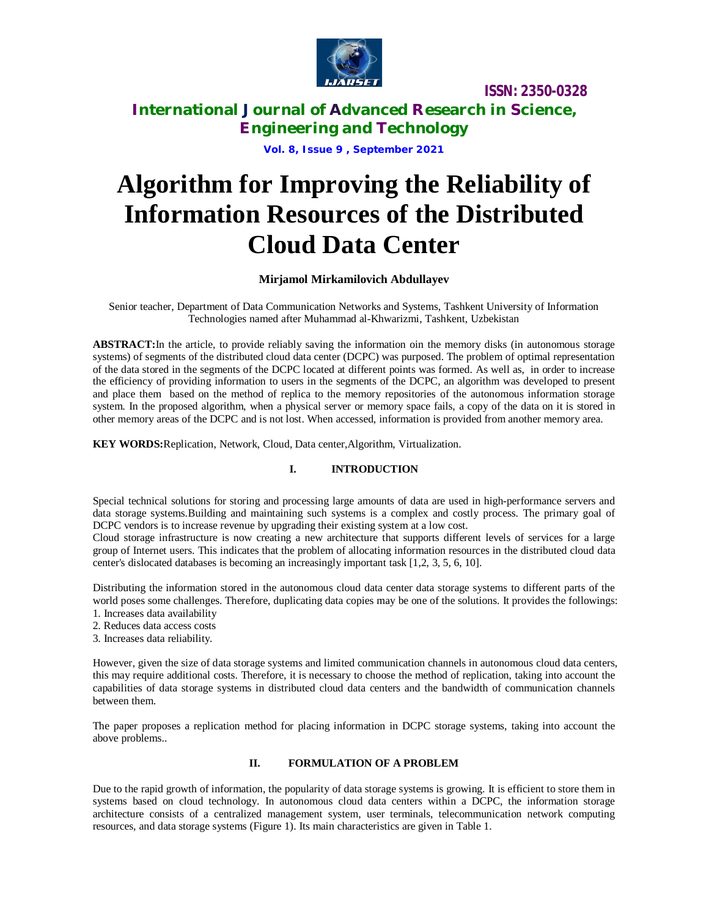

### **International Journal of Advanced Research in Science, Engineering and Technology**

**Vol. 8, Issue 9 , September 2021**

# **Algorithm for Improving the Reliability of Information Resources of the Distributed Cloud Data Center**

### **Mirjamol Mirkamilovich Abdullayev**

Senior teacher, Department of Data Communication Networks and Systems, Tashkent University of Information Technologies named after Muhammad al-Khwarizmi, Tashkent, Uzbekistan

**ABSTRACT:**In the article, to provide reliably saving the information oin the memory disks (in autonomous storage systems) of segments of the distributed cloud data center (DCPC) was purposed. The problem of optimal representation of the data stored in the segments of the DCPC located at different points was formed. As well as, in order to increase the efficiency of providing information to users in the segments of the DCPC, an algorithm was developed to present and place them based on the method of replica to the memory repositories of the autonomous information storage system. In the proposed algorithm, when a physical server or memory space fails, a copy of the data on it is stored in other memory areas of the DCPC and is not lost. When accessed, information is provided from another memory area.

**KEY WORDS:**Replication, Network, Cloud, Data center,Algorithm, Virtualization.

### **I. INTRODUCTION**

Special technical solutions for storing and processing large amounts of data are used in high-performance servers and data storage systems.Building and maintaining such systems is a complex and costly process. The primary goal of DCPC vendors is to increase revenue by upgrading their existing system at a low cost.

Cloud storage infrastructure is now creating a new architecture that supports different levels of services for a large group of Internet users. This indicates that the problem of allocating information resources in the distributed cloud data center's dislocated databases is becoming an increasingly important task [1,2, 3, 5, 6, 10].

Distributing the information stored in the autonomous cloud data center data storage systems to different parts of the world poses some challenges. Therefore, duplicating data copies may be one of the solutions. It provides the followings:

- 1. Increases data availability
- 2. Reduces data access costs
- 3. Increases data reliability.

However, given the size of data storage systems and limited communication channels in autonomous cloud data centers, this may require additional costs. Therefore, it is necessary to choose the method of replication, taking into account the capabilities of data storage systems in distributed cloud data centers and the bandwidth of communication channels between them.

The paper proposes a replication method for placing information in DCPC storage systems, taking into account the above problems..

### **II. FORMULATION OF A PROBLEM**

Due to the rapid growth of information, the popularity of data storage systems is growing. It is efficient to store them in systems based on cloud technology. In autonomous cloud data centers within a DCPC, the information storage architecture consists of a centralized management system, user terminals, telecommunication network computing resources, and data storage systems (Figure 1). Its main characteristics are given in Table 1.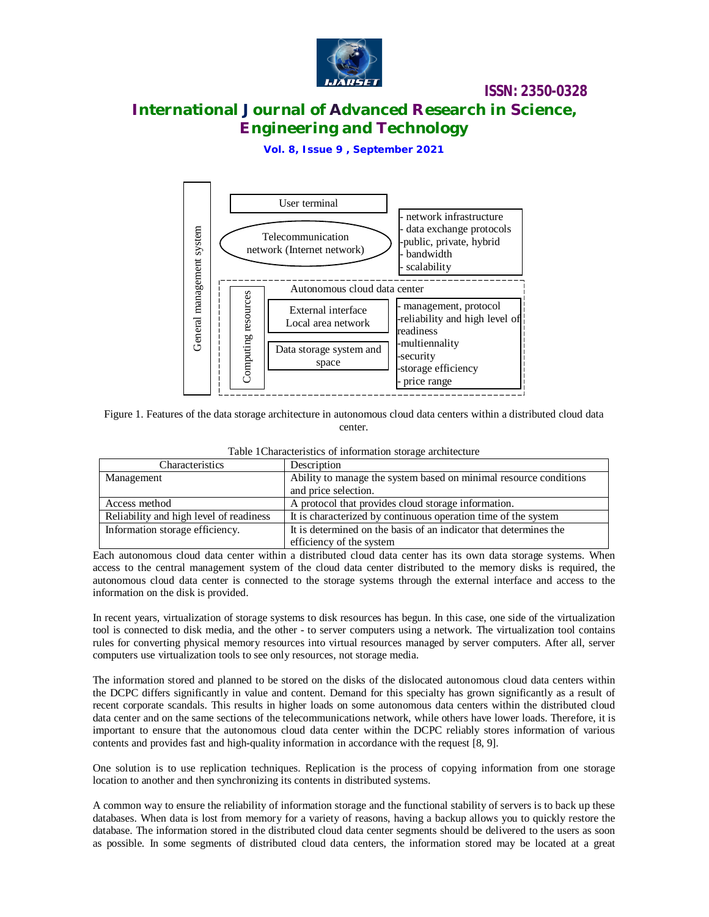

# **International Journal of Advanced Research in Science, Engineering and Technology**

**Vol. 8, Issue 9 , September 2021**



Figure 1. Features of the data storage architecture in autonomous cloud data centers within a distributed cloud data center.

| Table 1 Characteristics of information storage architecture |  |  |
|-------------------------------------------------------------|--|--|
|-------------------------------------------------------------|--|--|

| Characteristics                         | Description                                                       |
|-----------------------------------------|-------------------------------------------------------------------|
| Management                              | Ability to manage the system based on minimal resource conditions |
|                                         | and price selection.                                              |
| Access method                           | A protocol that provides cloud storage information.               |
| Reliability and high level of readiness | It is characterized by continuous operation time of the system    |
| Information storage efficiency.         | It is determined on the basis of an indicator that determines the |
|                                         | efficiency of the system                                          |

Each autonomous cloud data center within a distributed cloud data center has its own data storage systems. When access to the central management system of the cloud data center distributed to the memory disks is required, the autonomous cloud data center is connected to the storage systems through the external interface and access to the information on the disk is provided.

In recent years, virtualization of storage systems to disk resources has begun. In this case, one side of the virtualization tool is connected to disk media, and the other - to server computers using a network. The virtualization tool contains rules for converting physical memory resources into virtual resources managed by server computers. After all, server computers use virtualization tools to see only resources, not storage media.

The information stored and planned to be stored on the disks of the dislocated autonomous cloud data centers within the DCPC differs significantly in value and content. Demand for this specialty has grown significantly as a result of recent corporate scandals. This results in higher loads on some autonomous data centers within the distributed cloud data center and on the same sections of the telecommunications network, while others have lower loads. Therefore, it is important to ensure that the autonomous cloud data center within the DCPC reliably stores information of various contents and provides fast and high-quality information in accordance with the request [8, 9].

One solution is to use replication techniques. Replication is the process of copying information from one storage location to another and then synchronizing its contents in distributed systems.

A common way to ensure the reliability of information storage and the functional stability of servers is to back up these databases. When data is lost from memory for a variety of reasons, having a backup allows you to quickly restore the database. The information stored in the distributed cloud data center segments should be delivered to the users as soon as possible. In some segments of distributed cloud data centers, the information stored may be located at a great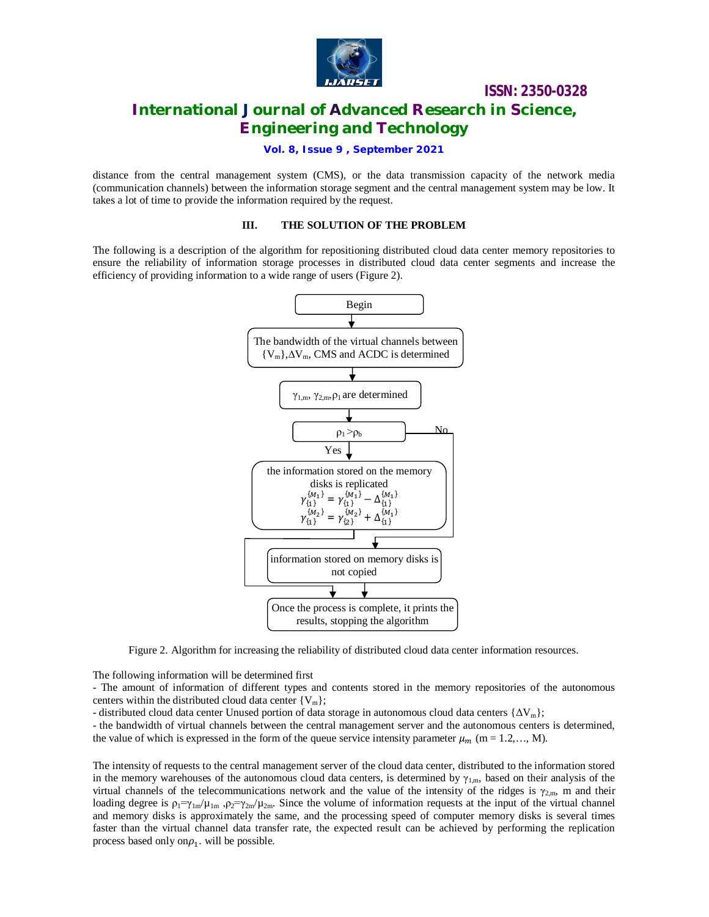

# **International Journal of Advanced Research in Science, Engineering and Technology**

#### **Vol. 8, Issue 9 , September 2021**

distance from the central management system (CMS), or the data transmission capacity of the network media (communication channels) between the information storage segment and the central management system may be low. It takes a lot of time to provide the information required by the request.

#### **III. THE SOLUTION OF THE PROBLEM**

The following is a description of the algorithm for repositioning distributed cloud data center memory repositories to ensure the reliability of information storage processes in distributed cloud data center segments and increase the efficiency of providing information to a wide range of users (Figure 2).



Figure 2. Algorithm for increasing the reliability of distributed cloud data center information resources.

The following information will be determined first

- The amount of information of different types and contents stored in the memory repositories of the autonomous centers within the distributed cloud data center  ${V_m}$ ;

- distributed cloud data center Unused portion of data storage in autonomous cloud data centers  $\{\Delta V_m\}$ ;

- the bandwidth of virtual channels between the central management server and the autonomous centers is determined, the value of which is expressed in the form of the queue service intensity parameter  $\mu_m$  (m = 1.2,..., M).

The intensity of requests to the central management server of the cloud data center, distributed to the information stored in the memory warehouses of the autonomous cloud data centers, is determined by  $\gamma_{1,m}$ , based on their analysis of the virtual channels of the telecommunications network and the value of the intensity of the ridges is  $\gamma_{2,m}$ , m and their loading degree is  $\rho_1 = \gamma_{1m}/\mu_{1m}$ ,  $\rho_2 = \gamma_{2m}/\mu_{2m}$ . Since the volume of information requests at the input of the virtual channel and memory disks is approximately the same, and the processing speed of computer memory disks is several times faster than the virtual channel data transfer rate, the expected result can be achieved by performing the replication process based only on $\rho_1$ . will be possible.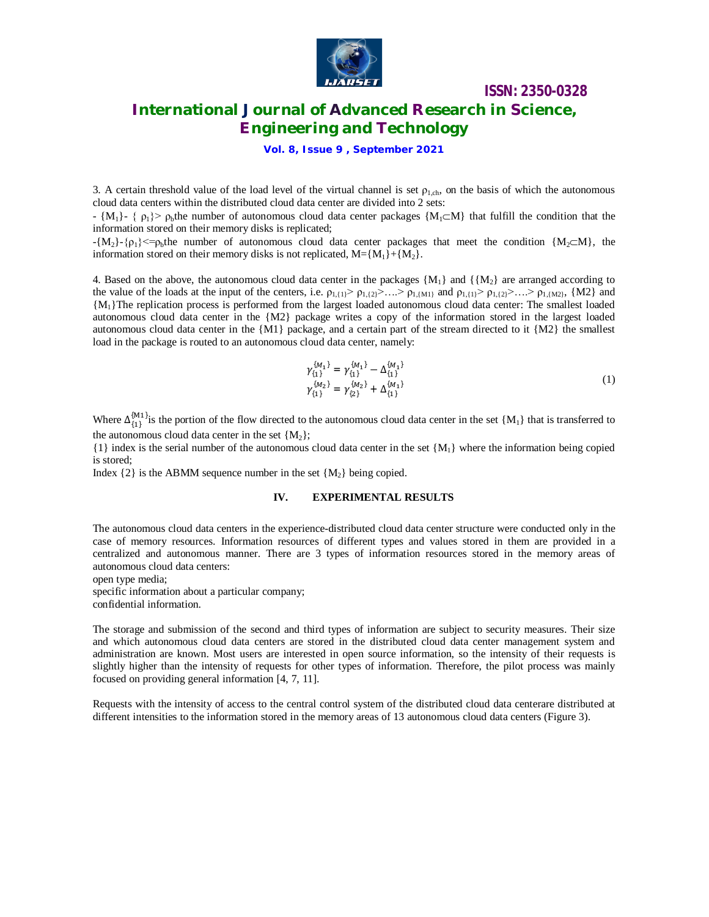

## **International Journal of Advanced Research in Science, Engineering and Technology**

**Vol. 8, Issue 9 , September 2021**

3. A certain threshold value of the load level of the virtual channel is set  $\rho_{1,ch}$ , on the basis of which the autonomous cloud data centers within the distributed cloud data center are divided into 2 sets:

 $- \{M_1\} - \{p_1\}$  p<sub>b</sub>the number of autonomous cloud data center packages  $\{M_1 \subset M\}$  that fulfill the condition that the information stored on their memory disks is replicated;

 $-\{M_2\} - \{p_1\} \leq -\rho_b$  number of autonomous cloud data center packages that meet the condition  $\{M_2 \subset M\}$ , the information stored on their memory disks is not replicated,  $M = \{M_1\} + \{M_2\}$ .

4. Based on the above, the autonomous cloud data center in the packages  ${M_1}$  and  ${K_2}$  are arranged according to the value of the loads at the input of the centers, i.e.  $\rho_{1,(1)} > \rho_{1,(2)} > ... > \rho_{1,(M1)}$  and  $\rho_{1,(1)} > \rho_{1,(2)} > ... > \rho_{1,(M2)}$ , {M2} and {M1}The replication process is performed from the largest loaded autonomous cloud data center: The smallest loaded autonomous cloud data center in the {M2} package writes a copy of the information stored in the largest loaded autonomous cloud data center in the  ${M1}$  package, and a certain part of the stream directed to it  ${M2}$  the smallest load in the package is routed to an autonomous cloud data center, namely:

$$
\gamma_{\{1\}}^{\{M_1\}} = \gamma_{\{1\}}^{\{M_1\}} - \Delta_{\{1\}}^{\{M_1\}} \tag{1}
$$
\n
$$
\gamma_{\{1\}}^{\{M_2\}} = \gamma_{\{2\}}^{\{M_2\}} + \Delta_{\{1\}}^{\{M_1\}}
$$

Where  $\Delta_{\{1\}}^{(M_1)}$  is the portion of the flow directed to the autonomous cloud data center in the set  $\{M_1\}$  that is transferred to the autonomous cloud data center in the set  ${M<sub>2</sub>}$ ;

 $\{1\}$  index is the serial number of the autonomous cloud data center in the set  $\{M_1\}$  where the information being copied is stored;

Index  $\{2\}$  is the ABMM sequence number in the set  $\{M_2\}$  being copied.

#### **IV. EXPERIMENTAL RESULTS**

The autonomous cloud data centers in the experience-distributed cloud data center structure were conducted only in the case of memory resources. Information resources of different types and values stored in them are provided in a centralized and autonomous manner. There are 3 types of information resources stored in the memory areas of autonomous cloud data centers:

open type media;

specific information about a particular company; confidential information.

The storage and submission of the second and third types of information are subject to security measures. Their size and which autonomous cloud data centers are stored in the distributed cloud data center management system and administration are known. Most users are interested in open source information, so the intensity of their requests is slightly higher than the intensity of requests for other types of information. Therefore, the pilot process was mainly focused on providing general information [4, 7, 11].

Requests with the intensity of access to the central control system of the distributed cloud data centerare distributed at different intensities to the information stored in the memory areas of 13 autonomous cloud data centers (Figure 3).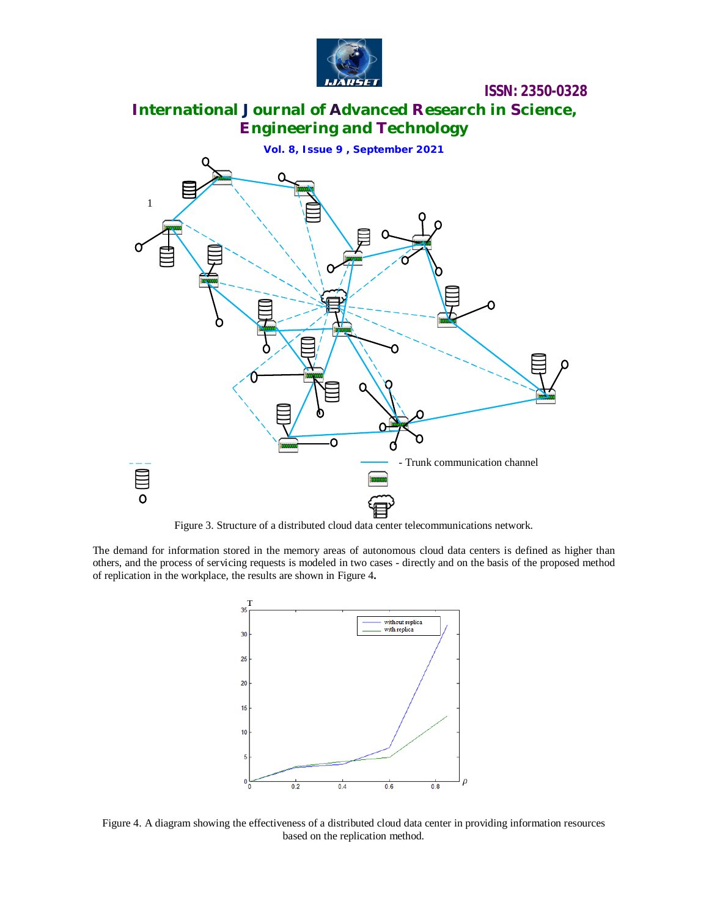

# **International Journal of Advanced Research in Science, Engineering and Technology**



Figure 3. Structure of a distributed cloud data center telecommunications network.

The demand for information stored in the memory areas of autonomous cloud data centers is defined as higher than others, and the process of servicing requests is modeled in two cases - directly and on the basis of the proposed method of replication in the workplace, the results are shown in Figure 4**.**



Figure 4. A diagram showing the effectiveness of a distributed cloud data center in providing information resources based on the replication method.